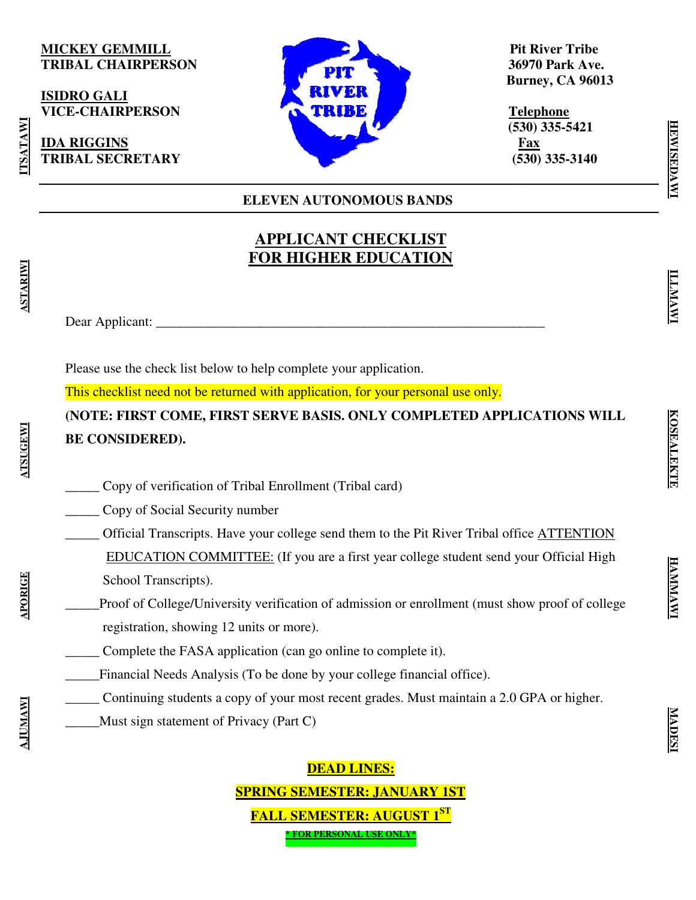### **MICKEY GEMMILL TRIBAL CHAIRPERSON**

**ISIDRO GALI VICE-CHAIRPERSON** 

**TRIBAL SECRETARY** 

**IDA RIGGINS** 

**ELEVEN AUTONOMOUS BANDS**

**APPLICANT CHECKLIST FOR HIGHER EDUCATION APPLICANT CHECKLISTEDUCATION**

 **Pit River Tribe Tribe 36970 Park Ave. Burney, CA 96013** 36970 Park Av<br>Burney, CA 960<br><u>Telephone</u><br>(530) 335-5421

 **Telephone (530) 335 Fax (530) 335 335-3140** 

Dear Applicant: \_\_\_\_\_\_\_\_\_\_\_\_\_\_\_\_\_\_\_\_\_\_\_\_\_\_\_\_\_\_\_\_\_\_\_\_\_\_\_\_\_\_\_\_\_\_\_\_\_\_\_\_\_\_\_\_\_ Dear Applicant: \_\_\_\_\_\_\_\_\_\_\_\_\_\_\_\_\_\_\_\_\_\_\_\_\_\_\_\_\_\_\_\_\_\_\_\_\_\_\_\_\_\_\_\_\_\_\_\_\_\_\_\_\_\_\_\_\_

Please use the check list below to help complete your application.

Please use the check list below to help complete your application.<br>This checklist need not be returned with application, for your personal use only.

(NOTE: FIRST COME, FIRST SERVE BASIS. ONLY COMPLETED APPLICATIONS WILL **BE CONSIDERED).** 

- \_\_\_\_\_ Copy of verification of Tribal Enrollment (Tribal card)
- \_\_\_\_\_ Copy of Social Security number
- Copy of verification of Tribal Enrollment (Tribal card)<br>
Copy of Social Security number<br>
Official Transcripts. Have your college send them to the Pit River Tribal office <u>ATTENTION</u> EDUCATION COMMITTEE: (If you are a first year college student send your Official High School Transcripts). (530) 335-5421<br>
Fax (530) 335-3140<br>
(630) 335-3140<br>
COMOUS BANDS<br>
CHECKLIST<br>
FEDUCATION<br>
In application.<br>
The property of the property of the MITENTION<br>
Side card)<br>
them to the Pit River Tribal office <u>ATTENTION</u><br>
first ye
- Proof of College/University verification of admission or enrollment (must show proof of college registration, showing 12 units or more). metal complete the FASA application (can go online to complete it).<br>
The FASA application (can go online to complete it).

\_\_\_\_\_Financial Needs Analysis (To be done by your college financial office).

- Continuing students a copy of your most recent grades. Must maintain a 2.0 GPA or higher.
- \_\_\_\_\_Must sign statement of Privacy (Part C) \_\_\_\_\_Must

**SPRING SEMESTER: JANUARY 1ST FALL SEMESTER: AUGUST 1 FALL SEMESTER: ST DEAD LINES: \* FOR PERSONAL USE ONLY\***

**APORIGI** 

TSATAW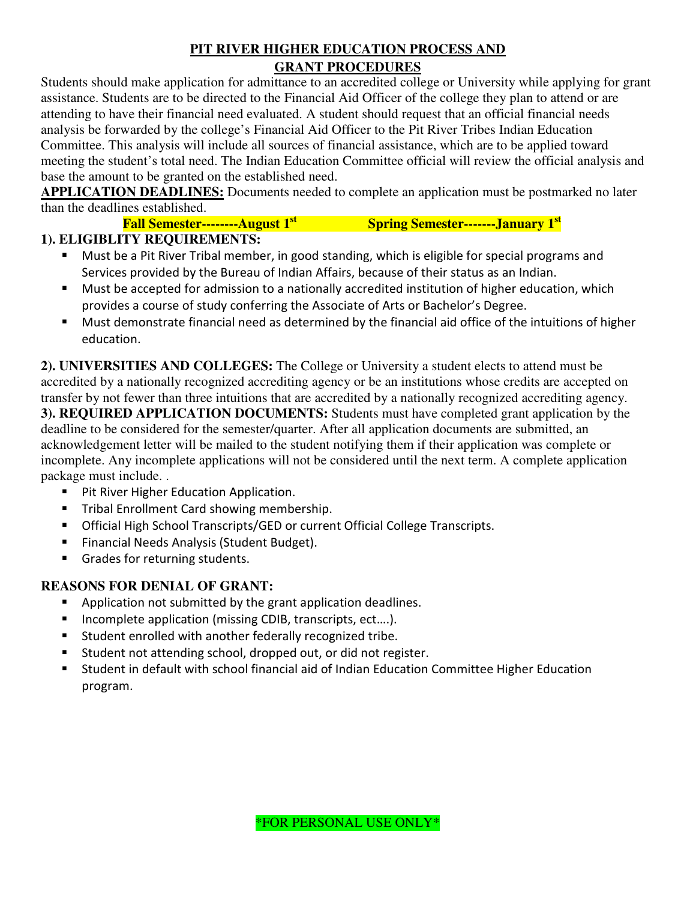### **PIT RIVER HIGHER EDUCATION PROCESS AND GRANT PROCEDURES**

Students should make application for admittance to an accredited college or University while applying for grant assistance. Students are to be directed to the Financial Aid Officer of the college they plan to attend or are attending to have their financial need evaluated. A student should request that an official financial needs analysis be forwarded by the college's Financial Aid Officer to the Pit River Tribes Indian Education Committee. This analysis will include all sources of financial assistance, which are to be applied toward meeting the student's total need. The Indian Education Committee official will review the official analysis and base the amount to be granted on the established need.

**APPLICATION DEADLINES:** Documents needed to complete an application must be postmarked no later than the deadlines established.

**Fall Semester--------August 1st Spring Semester-------January 1st**

### **1). ELIGIBLITY REQUIREMENTS:**

- Must be a Pit River Tribal member, in good standing, which is eligible for special programs and Services provided by the Bureau of Indian Affairs, because of their status as an Indian.
- Must be accepted for admission to a nationally accredited institution of higher education, which provides a course of study conferring the Associate of Arts or Bachelor's Degree.
- Must demonstrate financial need as determined by the financial aid office of the intuitions of higher education.

**2). UNIVERSITIES AND COLLEGES:** The College or University a student elects to attend must be accredited by a nationally recognized accrediting agency or be an institutions whose credits are accepted on transfer by not fewer than three intuitions that are accredited by a nationally recognized accrediting agency. **3). REQUIRED APPLICATION DOCUMENTS:** Students must have completed grant application by the deadline to be considered for the semester/quarter. After all application documents are submitted, an acknowledgement letter will be mailed to the student notifying them if their application was complete or incomplete. Any incomplete applications will not be considered until the next term. A complete application package must include. .

- **Pit River Higher Education Application.**
- **Tribal Enrollment Card showing membership.**
- **Official High School Transcripts/GED or current Official College Transcripts.**
- **Financial Needs Analysis (Student Budget).**
- Grades for returning students.

### **REASONS FOR DENIAL OF GRANT:**

- **Application not submitted by the grant application deadlines.**
- Incomplete application (missing CDIB, transcripts, ect....).
- Student enrolled with another federally recognized tribe.
- Student not attending school, dropped out, or did not register.
- Student in default with school financial aid of Indian Education Committee Higher Education program.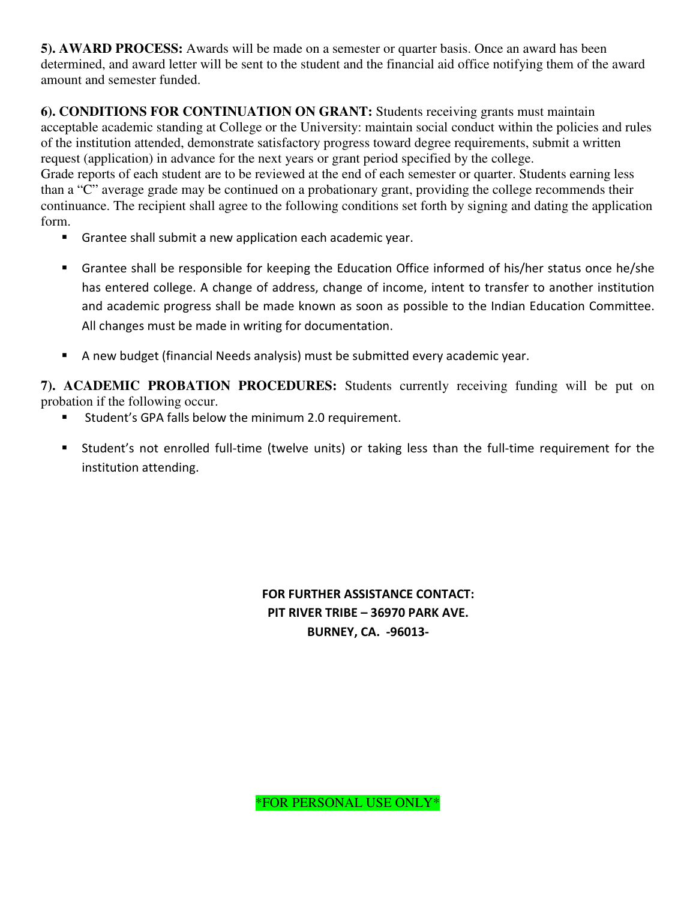**5). AWARD PROCESS:** Awards will be made on a semester or quarter basis. Once an award has been determined, and award letter will be sent to the student and the financial aid office notifying them of the award amount and semester funded.

**6). CONDITIONS FOR CONTINUATION ON GRANT:** Students receiving grants must maintain acceptable academic standing at College or the University: maintain social conduct within the policies and rules of the institution attended, demonstrate satisfactory progress toward degree requirements, submit a written request (application) in advance for the next years or grant period specified by the college. Grade reports of each student are to be reviewed at the end of each semester or quarter. Students earning less than a "C" average grade may be continued on a probationary grant, providing the college recommends their continuance. The recipient shall agree to the following conditions set forth by signing and dating the application form.

- Grantee shall submit a new application each academic year.
- Grantee shall be responsible for keeping the Education Office informed of his/her status once he/she has entered college. A change of address, change of income, intent to transfer to another institution and academic progress shall be made known as soon as possible to the Indian Education Committee. All changes must be made in writing for documentation.
- A new budget (financial Needs analysis) must be submitted every academic year.

**7). ACADEMIC PROBATION PROCEDURES:** Students currently receiving funding will be put on probation if the following occur.

- Student's GPA falls below the minimum 2.0 requirement.
- Student's not enrolled full-time (twelve units) or taking less than the full-time requirement for the institution attending.

FOR FURTHER ASSISTANCE CONTACT: PIT RIVER TRIBE – 36970 PARK AVE. BURNEY, CA. -96013-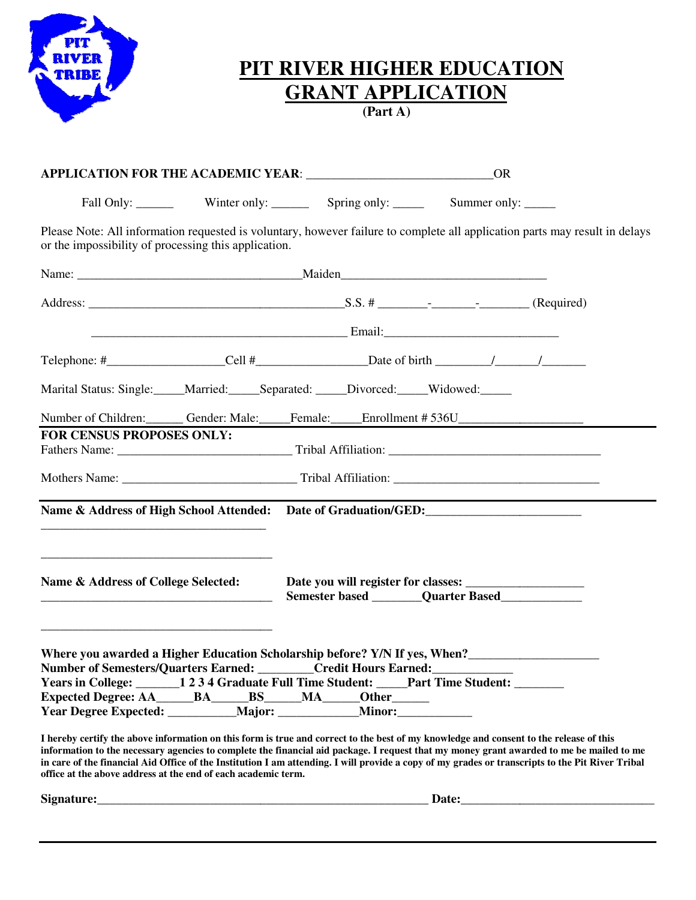

## **PIT RIVER HIGHER EDUCATION RIVER GRANT APPLICATION**

**(Part A)** 

|                                                               |  | <b>OR</b>                                                                                                                                                                                                                                                                                                                                                                                                                                                                                                                                                                                                                                                                                                                                                |  |  |  |  |  |
|---------------------------------------------------------------|--|----------------------------------------------------------------------------------------------------------------------------------------------------------------------------------------------------------------------------------------------------------------------------------------------------------------------------------------------------------------------------------------------------------------------------------------------------------------------------------------------------------------------------------------------------------------------------------------------------------------------------------------------------------------------------------------------------------------------------------------------------------|--|--|--|--|--|
|                                                               |  | Fall Only: ________ Winter only: _______ Spring only: ______ Summer only: _____                                                                                                                                                                                                                                                                                                                                                                                                                                                                                                                                                                                                                                                                          |  |  |  |  |  |
| or the impossibility of processing this application.          |  | Please Note: All information requested is voluntary, however failure to complete all application parts may result in delays                                                                                                                                                                                                                                                                                                                                                                                                                                                                                                                                                                                                                              |  |  |  |  |  |
|                                                               |  |                                                                                                                                                                                                                                                                                                                                                                                                                                                                                                                                                                                                                                                                                                                                                          |  |  |  |  |  |
|                                                               |  |                                                                                                                                                                                                                                                                                                                                                                                                                                                                                                                                                                                                                                                                                                                                                          |  |  |  |  |  |
|                                                               |  |                                                                                                                                                                                                                                                                                                                                                                                                                                                                                                                                                                                                                                                                                                                                                          |  |  |  |  |  |
|                                                               |  |                                                                                                                                                                                                                                                                                                                                                                                                                                                                                                                                                                                                                                                                                                                                                          |  |  |  |  |  |
|                                                               |  | Marital Status: Single: _____Married: _____Separated: _____Divorced: _____Widowed: _____                                                                                                                                                                                                                                                                                                                                                                                                                                                                                                                                                                                                                                                                 |  |  |  |  |  |
|                                                               |  | Number of Children: Gender: Male: Female: Enrollment # 536U                                                                                                                                                                                                                                                                                                                                                                                                                                                                                                                                                                                                                                                                                              |  |  |  |  |  |
| FOR CENSUS PROPOSES ONLY:                                     |  |                                                                                                                                                                                                                                                                                                                                                                                                                                                                                                                                                                                                                                                                                                                                                          |  |  |  |  |  |
|                                                               |  |                                                                                                                                                                                                                                                                                                                                                                                                                                                                                                                                                                                                                                                                                                                                                          |  |  |  |  |  |
|                                                               |  | Name & Address of High School Attended: Date of Graduation/GED:                                                                                                                                                                                                                                                                                                                                                                                                                                                                                                                                                                                                                                                                                          |  |  |  |  |  |
| Name & Address of College Selected:                           |  |                                                                                                                                                                                                                                                                                                                                                                                                                                                                                                                                                                                                                                                                                                                                                          |  |  |  |  |  |
| office at the above address at the end of each academic term. |  | Where you awarded a Higher Education Scholarship before? Y/N If yes, When?<br>Number of Semesters/Quarters Earned: _______Credit Hours Earned: _______<br>Years in College: ______1234 Graduate Full Time Student: ____Part Time Student: ______<br>Expected Degree: AA______BA______BS_____MA_____Other______<br>I hereby certify the above information on this form is true and correct to the best of my knowledge and consent to the release of this<br>information to the necessary agencies to complete the financial aid package. I request that my money grant awarded to me be mailed to me<br>in care of the financial Aid Office of the Institution I am attending. I will provide a copy of my grades or transcripts to the Pit River Tribal |  |  |  |  |  |
|                                                               |  |                                                                                                                                                                                                                                                                                                                                                                                                                                                                                                                                                                                                                                                                                                                                                          |  |  |  |  |  |
|                                                               |  |                                                                                                                                                                                                                                                                                                                                                                                                                                                                                                                                                                                                                                                                                                                                                          |  |  |  |  |  |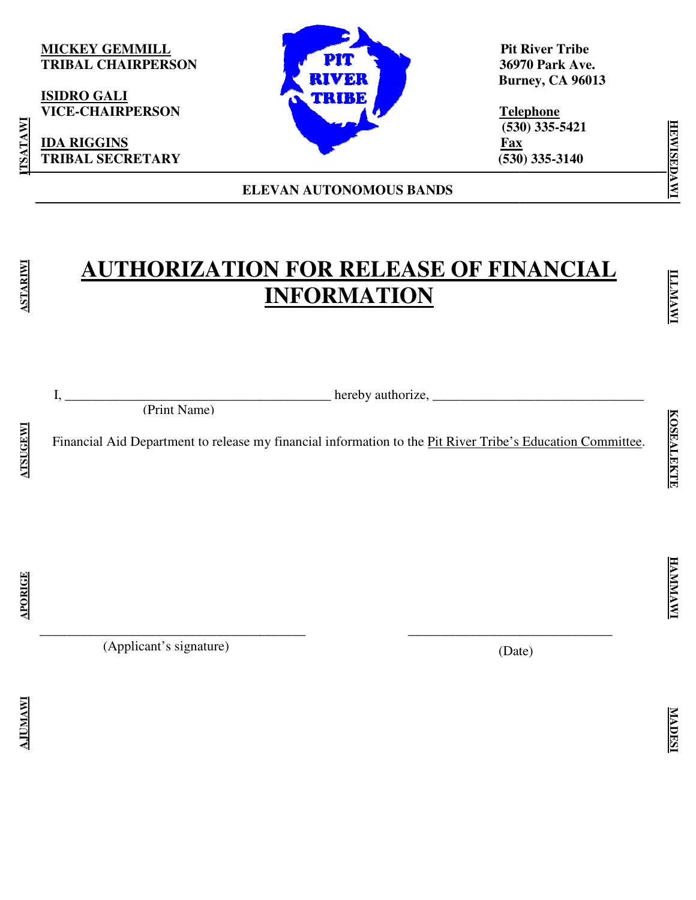### **MICKEY GEMMILL TRIBAL CHAIRPERSON**

**ISIDRO GALI VICE-CHAIRPERSON** 

**IDA RIGGINS TRIBAL SECRETARY** 



**ELEVAN AUTONOMOUS BANDS**

 **Pit River Tribe** Pit River Tribe<br>36970 Park Ave.  **Burney, CA 96013**

 **Telephone (530) 335 (530) 335-5421 Fax Fax**<br> $(530)$  335-3140

# **AUTHORIZATION FOR RELEASE AUTHORIZATION RELEASE OF FINANCIAL INFORMATION**

**ATSUGEWI** 

TSATAWI

**ASTARIWI** 

(Print Name)

 $I, \_\_$  hereby authorize,  $\_\_$ 

Financial Aid Department to release my financial information to the \_\_\_\_\_\_\_\_\_\_\_\_\_\_\_\_\_\_\_\_\_\_\_\_\_\_\_\_\_\_\_\_\_\_\_\_\_\_ Department to to the Pit River Tribe's Education Committee Committee.

\_\_\_\_\_\_\_\_\_\_\_\_\_\_\_\_\_\_\_\_\_\_\_\_\_\_\_\_\_\_\_\_\_\_\_\_\_\_\_ \_\_\_\_\_\_\_\_\_\_\_\_\_\_\_\_\_\_\_\_\_\_\_\_\_\_\_

**AJUMAWI APORIGE ATSUGEWI ASTARIWI ITSATAWI APORIGE** 

**AJUMAW** 

(Applicant's signature)

\_\_\_\_\_\_\_\_\_\_\_\_\_\_\_\_\_\_\_\_\_\_\_\_\_\_\_\_\_\_\_\_\_\_\_\_\_\_\_

(Date) \_\_\_\_\_\_\_\_\_\_\_\_\_\_\_\_\_\_\_\_\_\_\_\_\_\_\_\_\_\_ **HEWISEDAWI**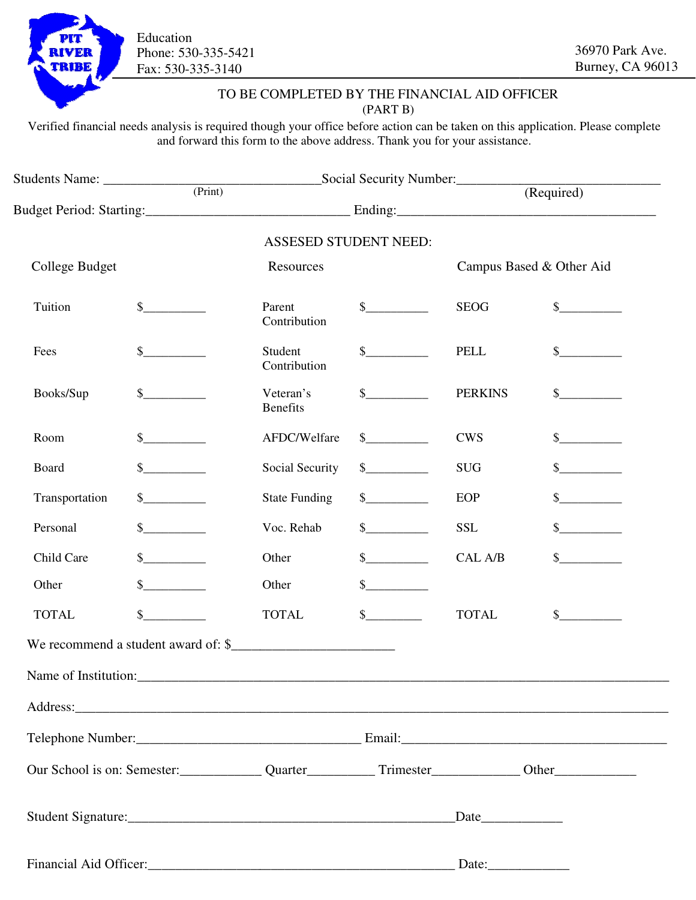

 Phone: 530-335-5421  Fax: 530-335-3140 Education

### TO BE COMPLETED BY THE FINANCIAL AID OFFICER (PART B)

| <b>RIVER</b><br><b>TRIBE</b>                                                                                                                                                                                                  | Phone: 530-335-5421<br>Fax: 530-335-3140 |                                                                            |                                                                                                                                                                                                                                                                                                                                                                              |                          | 36970 Park Ave.<br>Burney, CA 9601                                                                                               |
|-------------------------------------------------------------------------------------------------------------------------------------------------------------------------------------------------------------------------------|------------------------------------------|----------------------------------------------------------------------------|------------------------------------------------------------------------------------------------------------------------------------------------------------------------------------------------------------------------------------------------------------------------------------------------------------------------------------------------------------------------------|--------------------------|----------------------------------------------------------------------------------------------------------------------------------|
|                                                                                                                                                                                                                               |                                          | TO BE COMPLETED BY THE FINANCIAL AID OFFICER                               | (PART B)                                                                                                                                                                                                                                                                                                                                                                     |                          |                                                                                                                                  |
|                                                                                                                                                                                                                               |                                          | and forward this form to the above address. Thank you for your assistance. |                                                                                                                                                                                                                                                                                                                                                                              |                          | Verified financial needs analysis is required though your office before action can be taken on this application. Please complete |
|                                                                                                                                                                                                                               | Students Name: <u>Container (Print)</u>  | Social Security Number:<br>$\frac{1}{(Required)}$                          |                                                                                                                                                                                                                                                                                                                                                                              |                          |                                                                                                                                  |
|                                                                                                                                                                                                                               |                                          |                                                                            |                                                                                                                                                                                                                                                                                                                                                                              |                          |                                                                                                                                  |
|                                                                                                                                                                                                                               |                                          | <b>ASSESED STUDENT NEED:</b>                                               |                                                                                                                                                                                                                                                                                                                                                                              |                          |                                                                                                                                  |
| College Budget                                                                                                                                                                                                                |                                          | Resources                                                                  |                                                                                                                                                                                                                                                                                                                                                                              | Campus Based & Other Aid |                                                                                                                                  |
| Tuition                                                                                                                                                                                                                       | $\frac{\S_{\perp}}{\S_{\perp}}$          | Parent<br>Contribution                                                     | $\frac{\S_{\frac{1}{2}}}{\S_{\frac{1}{2}}}{\S_{\frac{1}{2}}}{\S_{\frac{1}{2}}}{\S_{\frac{1}{2}}}{\S_{\frac{1}{2}}}{\S_{\frac{1}{2}}}{\S_{\frac{1}{2}}}{\S_{\frac{1}{2}}}{\S_{\frac{1}{2}}}{\S_{\frac{1}{2}}}{\S_{\frac{1}{2}}}{\S_{\frac{1}{2}}}{\S_{\frac{1}{2}}}{\S_{\frac{1}{2}}}{\S_{\frac{1}{2}}}{\S_{\frac{1}{2}}}{\S_{\frac{1}{2}}}{\S_{\frac{1}{2}}}{\S_{\frac{1}{2$ | <b>SEOG</b>              | $\sim$                                                                                                                           |
| Fees                                                                                                                                                                                                                          |                                          | Student<br>Contribution                                                    | $\frac{\S_{\frac{1}{2}}}{\S_{\frac{1}{2}}}{\S_{\frac{1}{2}}}{\S_{\frac{1}{2}}}{\S_{\frac{1}{2}}}{\S_{\frac{1}{2}}}{\S_{\frac{1}{2}}}{\S_{\frac{1}{2}}}{\S_{\frac{1}{2}}}{\S_{\frac{1}{2}}}{\S_{\frac{1}{2}}}{\S_{\frac{1}{2}}}{\S_{\frac{1}{2}}}{\S_{\frac{1}{2}}}{\S_{\frac{1}{2}}}{\S_{\frac{1}{2}}}{\S_{\frac{1}{2}}}{\S_{\frac{1}{2}}}{\S_{\frac{1}{2}}}{\S_{\frac{1}{2$ | <b>PELL</b>              | $\sim$                                                                                                                           |
| Books/Sup                                                                                                                                                                                                                     |                                          | Veteran's<br><b>Benefits</b>                                               | $\mathbb{S}$                                                                                                                                                                                                                                                                                                                                                                 | <b>PERKINS</b>           | $\sim$                                                                                                                           |
| Room                                                                                                                                                                                                                          |                                          | AFDC/Welfare                                                               | $\mathcal{S}$                                                                                                                                                                                                                                                                                                                                                                | <b>CWS</b>               | $\sim$                                                                                                                           |
| Board                                                                                                                                                                                                                         |                                          | Social Security                                                            | $\frac{\text{S}}{\text{S}}$                                                                                                                                                                                                                                                                                                                                                  | <b>SUG</b>               | $\sim$                                                                                                                           |
| Transportation                                                                                                                                                                                                                | $\frac{1}{2}$                            | <b>State Funding</b>                                                       | $\mathcal{S}$                                                                                                                                                                                                                                                                                                                                                                | EOP                      | s                                                                                                                                |
| Personal                                                                                                                                                                                                                      |                                          | Voc. Rehab                                                                 | $\sim$                                                                                                                                                                                                                                                                                                                                                                       | <b>SSL</b>               | $\sim$                                                                                                                           |
| Child Care                                                                                                                                                                                                                    |                                          | Other                                                                      | $\mathbb{S}$                                                                                                                                                                                                                                                                                                                                                                 | CAL A/B                  |                                                                                                                                  |
| Other                                                                                                                                                                                                                         | $\frac{\text{S}}{\text{S}}$              | Other                                                                      | $\frac{\text{S}}{\text{S}}$                                                                                                                                                                                                                                                                                                                                                  |                          |                                                                                                                                  |
| <b>TOTAL</b>                                                                                                                                                                                                                  | $\mathbb{S}$                             | <b>TOTAL</b>                                                               | $\frac{\text{S}}{\text{S}}$                                                                                                                                                                                                                                                                                                                                                  | <b>TOTAL</b>             | s                                                                                                                                |
|                                                                                                                                                                                                                               | We recommend a student award of: \$      |                                                                            |                                                                                                                                                                                                                                                                                                                                                                              |                          |                                                                                                                                  |
|                                                                                                                                                                                                                               |                                          |                                                                            |                                                                                                                                                                                                                                                                                                                                                                              |                          |                                                                                                                                  |
|                                                                                                                                                                                                                               |                                          |                                                                            |                                                                                                                                                                                                                                                                                                                                                                              |                          |                                                                                                                                  |
|                                                                                                                                                                                                                               |                                          |                                                                            |                                                                                                                                                                                                                                                                                                                                                                              |                          |                                                                                                                                  |
| Our School is on: Semester: Quarter Quarter Trimester Content Content Content Content Content Content Content Content Content Content Content Content Content Content Content Content Content Content Content Content Content |                                          |                                                                            |                                                                                                                                                                                                                                                                                                                                                                              |                          |                                                                                                                                  |
|                                                                                                                                                                                                                               |                                          |                                                                            |                                                                                                                                                                                                                                                                                                                                                                              |                          |                                                                                                                                  |
|                                                                                                                                                                                                                               |                                          |                                                                            |                                                                                                                                                                                                                                                                                                                                                                              | Date:                    |                                                                                                                                  |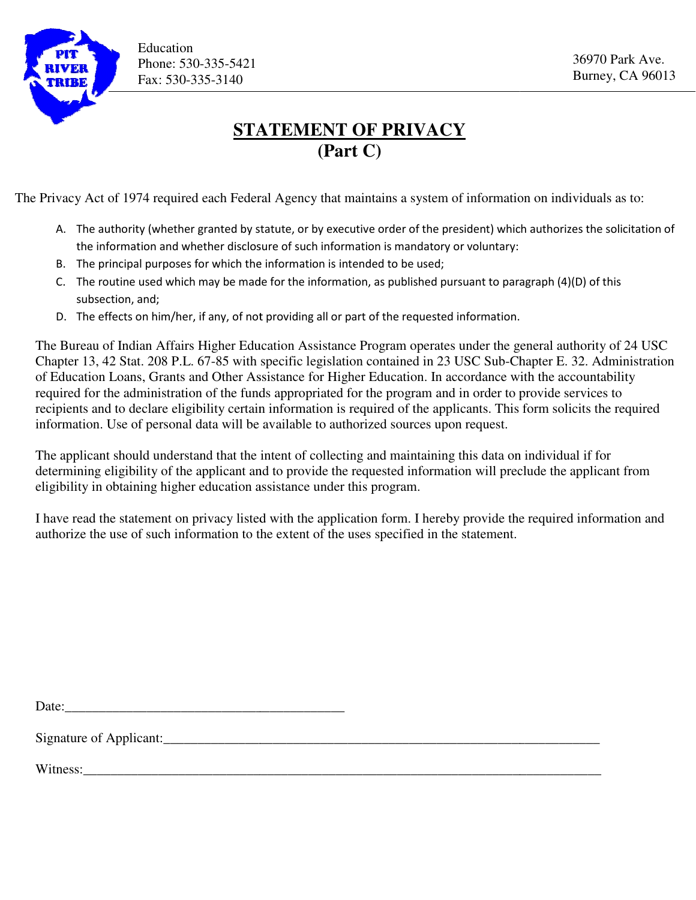

## **STATEMENT OF PRIVACY (Part C)**

The Privacy Act of 1974 required each Federal Agency that maintains a system of information on individuals as to:

- A. The authority (whether granted by statute, or by executive order of the president) which authorizes the solicitation of<br>the information and whether disclosure of such information is mandatory or voluntary: the information and whether disclosure of such information is mandatory or voluntary:
- B. The principal purposes for which the information is intended to be used;
- C. The routine used which may be made for the information, as published pursuant to paragraph (4)(D) of this subsection, and; principal purposes for which the information is intended to be used;<br>routine used which may be made for the information, as published pursuant to paragraph (4)(D)<br>ection, and;<br>effects on him/her, if any, of not providing a
- D. The effects on him/her, if any, of not providing all or part of the requested information

The Bureau of Indian Affairs Higher Education Assistance Program operates under the general authority of 24 USC The Bureau of Indian Affairs Higher Education Assistance Program operates under the general authority of 24 USC<br>Chapter 13, 42 Stat. 208 P.L. 67-85 with specific legislation contained in 23 USC Sub-Chapter E. 32. Administr of Education Loans, Grants and Other Assistance for Higher Education. In accordance with the accountability Chapter 13, 42 Stat. 208 P.L. 67-85 with specific legislation contained in 23 USC Sub-Chapter E. 32. Admin of Education Loans, Grants and Other Assistance for Higher Education. In accordance with the accountability require recipients and to declare eligibility certain information is required of the applicants. This form solicits the required information. Use of personal data will be available to authorized sources upon request. Phone: 530-335-5421<br> **Exac: 530-335-5421**<br> **Exac: 530-335-5421**<br> **Exac: 530-335-5421**<br> **Exac: Faction 1011**<br> **Exactle Transformation** and Hederal Agency that maintains a system of information on individuals as to:<br>
a entir

The applicant should understand that the intent of collecting and maintaining this data on individual if for determining eligibility of the applicant and to provide the requested information will preclude the applicant from eligibility in obtaining higher education assistance under this program.

I have read the statement on privacy listed with the application form. I hereby provide the required information and authorize the use of such information to the extent of the uses specified in the statement.

Date:

Signature of Applicant:\_\_\_\_\_\_\_\_\_\_\_\_\_\_\_\_\_\_\_\_\_\_\_\_\_\_\_\_\_\_\_\_\_\_\_\_\_\_\_\_\_\_\_\_\_\_\_\_\_\_\_\_\_\_\_\_\_\_\_\_\_\_\_\_

Witness: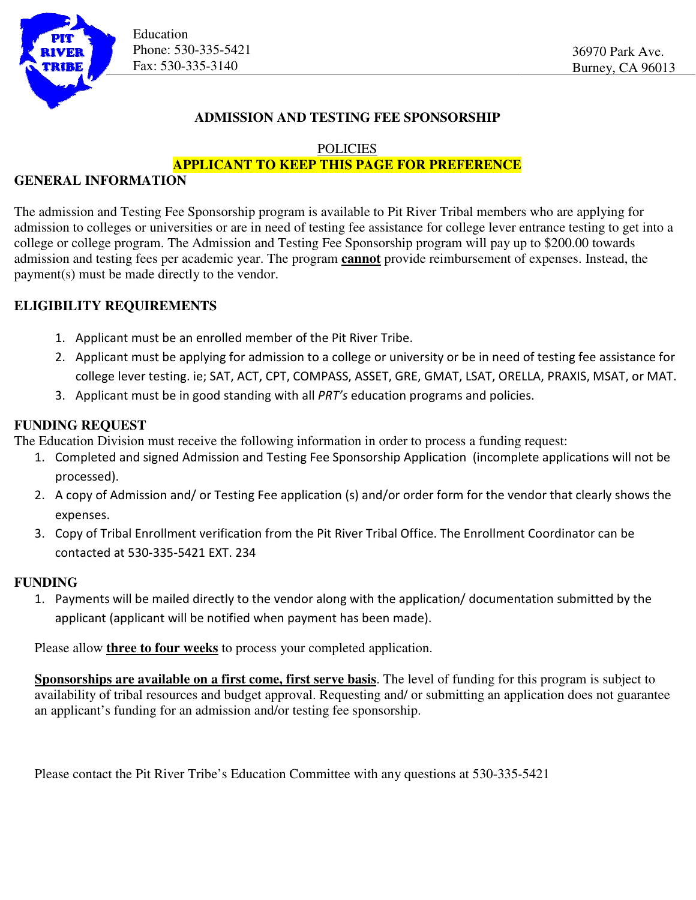

Education Phone: 530-335-5421 Fax: 530-335-3140

### **ADMISSION AND TESTING FEE SPONSORSHIP**

### **POLICIES**

### **APPLICANT TO KEEP THIS PAGE FOR PREFERENCE**

### **GENERAL INFORMATION**

The admission and Testing Fee Sponsorship program is available to Pit River Tribal members who are applying for admission to colleges or universities or are in need of testing fee assistance for college lever entrance testing to get into a college or college program. The Admission and Testing Fee Sponsorship program will pay up to \$200.00 towards ge The admission and Testing Fee Sponsorship program is available to Pit River Tribal members who are applying for<br>admission to colleges or universities or are in need of testing fee assistance for college lever entrance test payment(s) must be made directly to the vendor. payment(s)

### **ELIGIBILITY REQUIREMENTS**

- 1. Applicant must be an enrolled member of the Pit River Tribe.
- 2. Applicant must be applying for admission to a college or university or be in need of testing fee assistance for Applicant must be an enrolled member of the Pit River Tribe.<br>Applicant must be applying for admission to a college or university or be in need of testing fee assistance for<br>college lever testing. ie; SAT, ACT, CPT, COMPASS
- 3. Applicant must be in good standing with all PRT's education programs and policies.

### **FUNDING REQUEST**

The Education Division must receive the following information in order to process a funding request:

- 1. Completed and signed Admission and Testing Fee Sponsorship Application (incomplete applications will not be processed).
- 2. A copy of Admission and/ or Testing Fee application (s) and/or order form for the vendor that clearly shows the expenses. Completed and signed Admission and Testing Fee Sponsorship Application (incomplete applications will not<br>processed).<br>A copy of Admission and/ or Testing Fee application (s) and/or order form for the vendor that clearly sho
- 3. Copy of Tribal Enrollment verification from the Pit River Tribal Office. The Enrollment Coordinator can be contacted at 530-335-5421 EXT. 234

### **FUNDING**

1. Payments will be mailed directly to the vendor along with the application/ documentation submitted by the applicant (applicant will be notified when payment has been made).

Please allow **three to four weeks** to process your completed application.

**Sponsorships are available on a first come, first serve basis.** The level of funding for this program is subject to availability of tribal resources and budget approval. Requesting and/ or submitting an application does not guarantee<br>an applicant's funding for an admission and/or testing fee sponsorship. an applicant's funding for an admission and/or testing fee sponsorship. this program is subject<br>plication does not guara<br>-5421

Please contact the Pit River Tribe's Education Committee with any questions at 530-335-